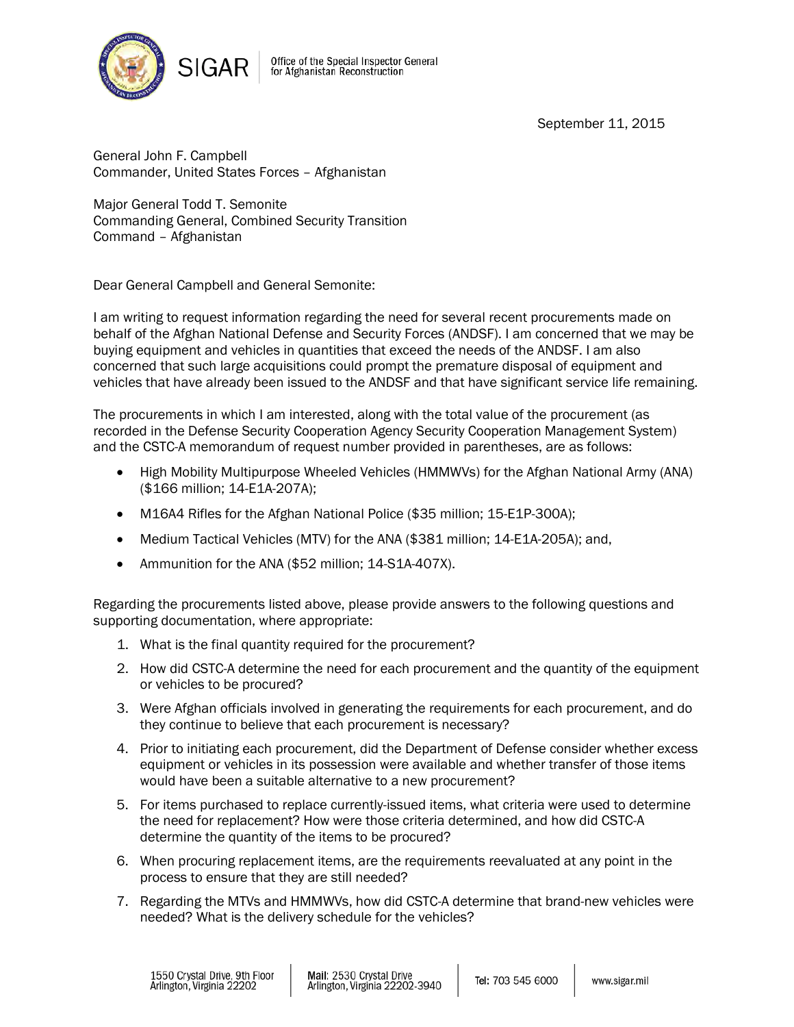

Office of the Special Inspector General<br>for Afghanistan Reconstruction

September 11, 2015

General John F. Campbell Commander, United States Forces – Afghanistan

Major General Todd T. Semonite Commanding General, Combined Security Transition Command – Afghanistan

Dear General Campbell and General Semonite:

I am writing to request information regarding the need for several recent procurements made on behalf of the Afghan National Defense and Security Forces (ANDSF). I am concerned that we may be buying equipment and vehicles in quantities that exceed the needs of the ANDSF. I am also concerned that such large acquisitions could prompt the premature disposal of equipment and vehicles that have already been issued to the ANDSF and that have significant service life remaining.

The procurements in which I am interested, along with the total value of the procurement (as recorded in the Defense Security Cooperation Agency Security Cooperation Management System) and the CSTC-A memorandum of request number provided in parentheses, are as follows:

- High Mobility Multipurpose Wheeled Vehicles (HMMWVs) for the Afghan National Army (ANA) (\$166 million; 14-E1A-207A);
- M16A4 Rifles for the Afghan National Police (\$35 million; 15-E1P-300A);
- Medium Tactical Vehicles (MTV) for the ANA (\$381 million; 14-E1A-205A); and,
- Ammunition for the ANA (\$52 million; 14-S1A-407X).

Regarding the procurements listed above, please provide answers to the following questions and supporting documentation, where appropriate:

- 1. What is the final quantity required for the procurement?
- 2. How did CSTC-A determine the need for each procurement and the quantity of the equipment or vehicles to be procured?
- 3. Were Afghan officials involved in generating the requirements for each procurement, and do they continue to believe that each procurement is necessary?
- 4. Prior to initiating each procurement, did the Department of Defense consider whether excess equipment or vehicles in its possession were available and whether transfer of those items would have been a suitable alternative to a new procurement?
- 5. For items purchased to replace currently-issued items, what criteria were used to determine the need for replacement? How were those criteria determined, and how did CSTC-A determine the quantity of the items to be procured?
- 6. When procuring replacement items, are the requirements reevaluated at any point in the process to ensure that they are still needed?
- 7. Regarding the MTVs and HMMWVs, how did CSTC-A determine that brand-new vehicles were needed? What is the delivery schedule for the vehicles?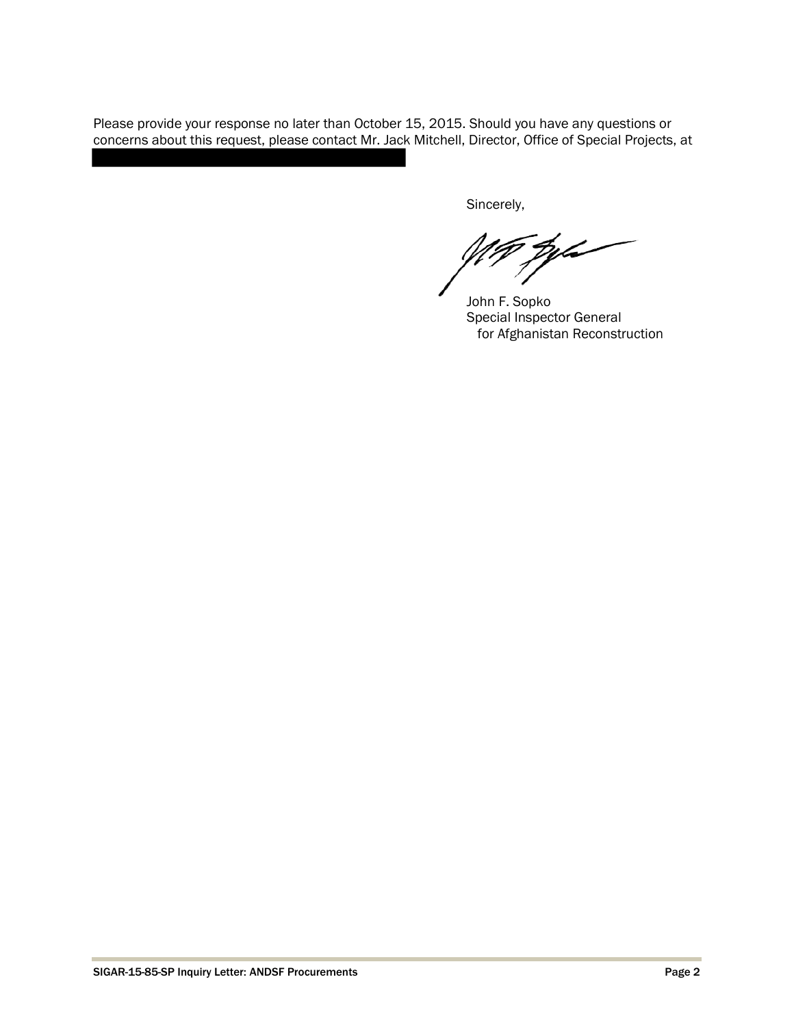Please provide your response no later than October 15, 2015. Should you have any questions or concerns about this request, please contact Mr. Jack Mitchell, Director, Office of Special Projects, at

Sincerely,

.<br>Delo

John F. Sopko Special Inspector General for Afghanistan Reconstruction

I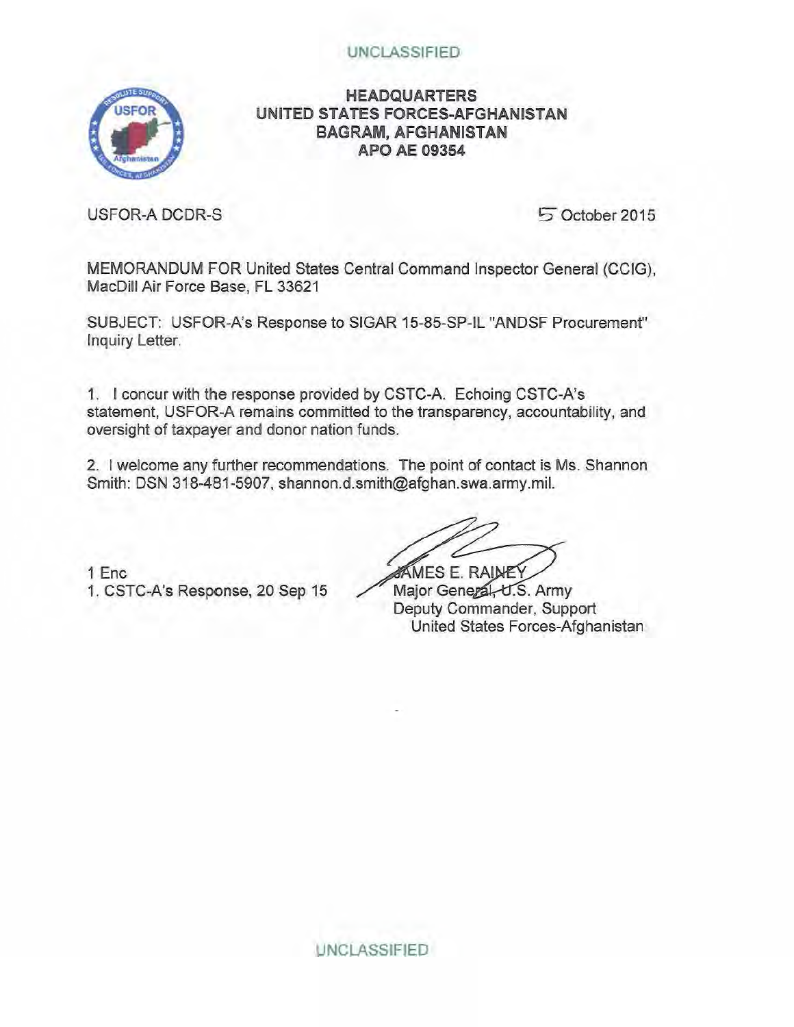# UNCLASSIFIED



# **HEADQUARTERS UNITED STATES FORCES-AFGHANISTAN BAGRAM, AFGHANISTAN APO AE 09354**

USFOR-A DCDR-S

5 October 2015

MEMORANDUM FOR United States Central Command Inspector General (CCIG), MacDill Air Force Base, FL 33621

SUBJECT: USFOR-A's Response to SIGAR 15-85-SP-IL "ANDSF Procurement" Inquiry Letter.

1. I concur with the response provided by CSTC-A. Echoing CSTC-A's statement, USFOR-A remains committed to the transparency, accountability, and oversight of taxpayer and donor nation funds.

2. I welcome any further recommendations. The point of contact is Ms. Shannon Smith: DSN 318-481-5907, shannon.d.smith@afghan.swa.army.mil.

1 Enc 1. CSTC-A's Response, 20 Sep 15 Major General, U.S. Army

**AMES E. RAINE** 

Deputy Commander, Support United States Forces-Afghanistan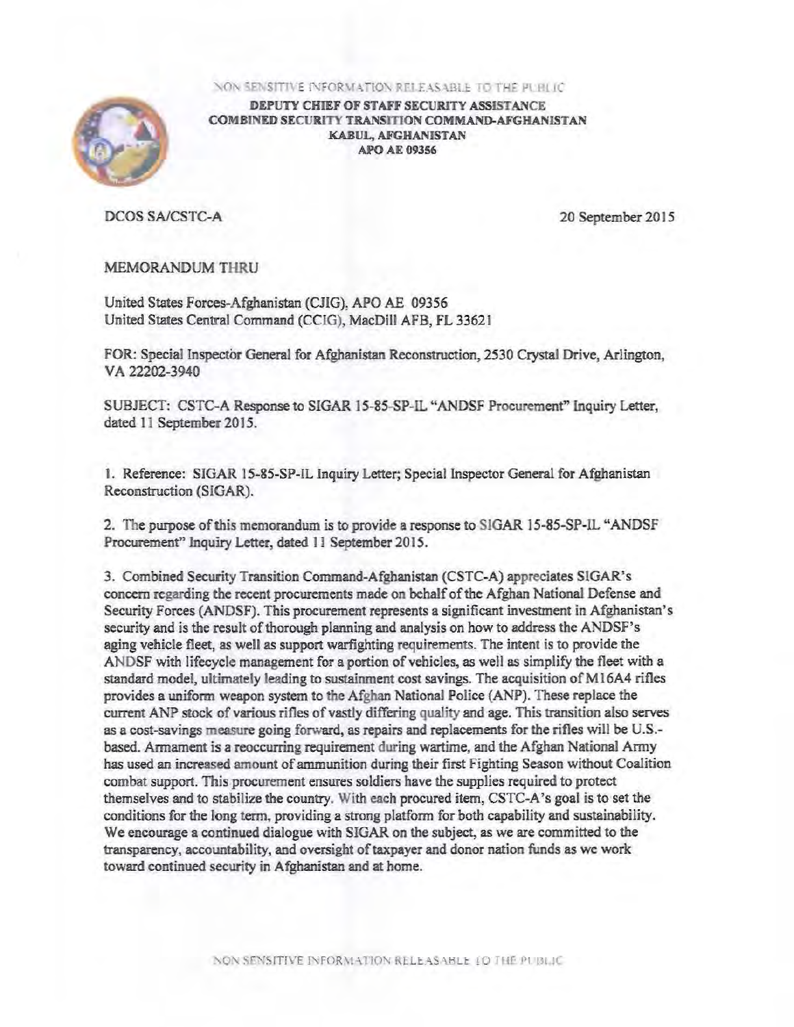

DEPUTY CHIEF OF STAFF SECURITY ASSISTANCE COMBINED SECURITY TRANSITION COMMAND-AFGHANISTAN KABUL, AFGHANISTAN **APO AE 09356** 

DCOS SA/CSTC-A 20 September 2015

## MEMORANDUM THRU

United States Forces-Afghanistan (CJIG): APO AE 09356 United States Central Command (CCIG), MacDill AFB, FL 33621

FOR: Special Inspecfor General for Afghanistan Reconstruction, 2530 Crystal Drive, Arlington, VA 22202-3940

SUBJECT: CSTC-A Response to SIGAR 15-85-SP-IL "ANDSF Procurement" Inquiry Letter, dated 11 September 2015.

1. Reference: SIGAR 15-85-SP-IL Inquiry Letter; Special Inspector General for Afghanistan Reconstruction (SIGAR).

2. The purpose of this memorandum is to provide a response to SIGAR 15-85-SP-IL "ANDSF Procurement" Inquiry Letter, dated 11 September 2015.

3. Combined Security Transition Command-Afghanistan (CSTC-A) appreciates SlGAR's concern regarding the recent procurements made on behalf of the Afghan National Defense and Security Forces (ANDSF). This procurement represents a significant investment in Afghanistan's security and is the result of thorough planning and analysis on how to address the ANDSF's aging vehicle fleet, as well as support warfighting requirements. The intent is to provide the ANDSF with lifecycle management for a portion of vehicles, as well as simplify the fleet with a standard model, ultimately leading to sustainment cost savings. The acquisition of Ml 6A4 rifles provides a uniform weapon system to the Afghan National Police (ANP). These replace the current ANP stock of various rifles of vastly differing quality and age. This transition also serves as a cost-savings measure going forward, as repairs and replacements for the rifles will be U.S. based. Annament is a reoccurring requirement during wartime, and the Afghan National Army has used an increased amount of ammunition during their first Fighting Season without Coalition combat support. This procurement ensures soldiers have the supplies required to protect themselves and to stabilize the country. With each procured item, CSTC-A 's goal is to set the conditions for the long term, providing a strong platform for both capability and sustainability. We encourage a continued dialogue with SIGAR on the subject, as we are committed to the transparency, accountability, and oversight of taxpayer and donor nation funds as we work toward continued security in Afghanistan and at home.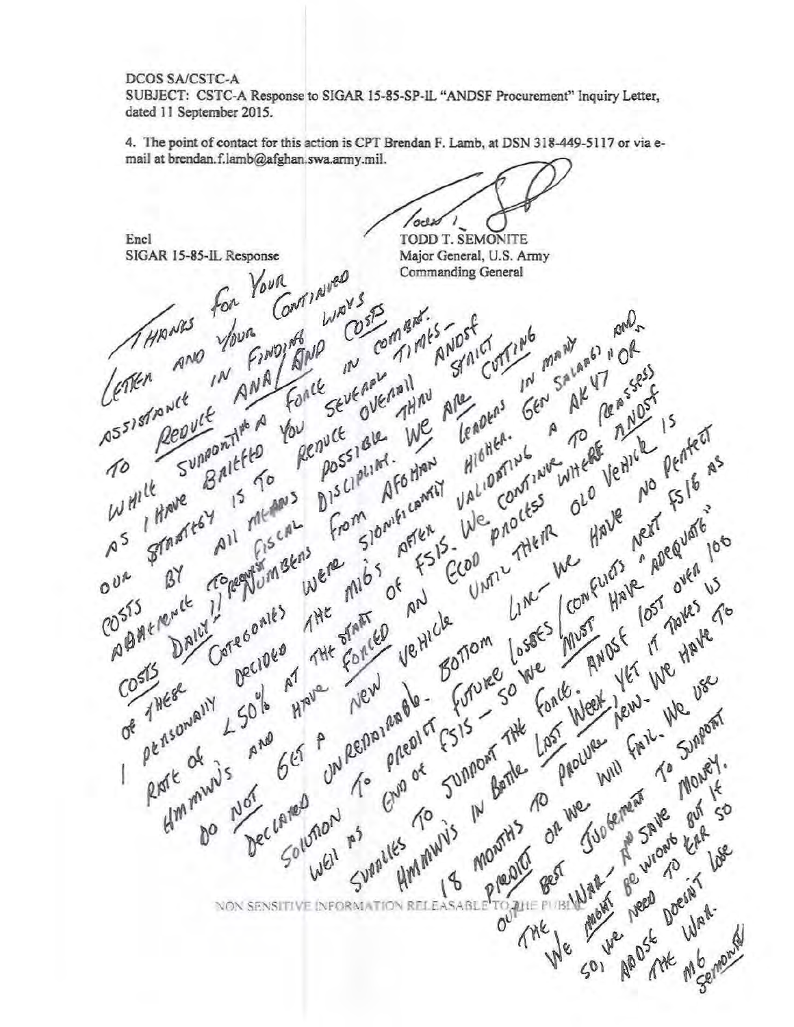## DCOS SA/CSTC-A

SUBJECT: CSTC-A Response to SIGAR 15-85-SP-lL "ANDSF Procurement" Inquiry Letter, dated 11 September 2015.

4. The point of contact for this action is CPT Brendan f. Lamb, at DSN 318-449-5117 or via email at brendan.f.Jamb@afghan.swa.army.mil.

oclx TODD T. SEMONITE Encl SIGAR 15-85-IL Response Major General, U.S. Army Good , When Your Commanding General **EAGINA** for COSP NO Com Barr pan2 Es Tost mantism your FINDING ING MANY STAICO Gen A AK R "OR BNP AND  $\mathbb{N}^J$  $\zeta^{(n)}$ Report of E sevenant AK RE  $\mathsf{I}^{\mathcal{N}}$ ANA GUE MAH Fonce REASSESF Assistance **JHM** Tenders Repute Supportive A Have new 15 rented bu penuce we HIGHEA. You nuce ale A WHERE NO VO WALK  $\hat{P}$ P TO I Punteal vehicle pented ungon<sub>Ti</sub><br>Baltfto Waliophys<br>Waliophys envecesiale We process ALIME. AFO HARMET  $\pi$  $15\frac{161}{15}$ The AF6 HARTY  $w + \frac{1}{R}$ All Fiscal process le Have  $\int_{13}^{10}$ Shaweresy The from slowificant We process CiscaL<br>CiscaL BANDE MET ADEQUATE 100  $f^{161}$  5 - $\wedge^5$ Line we be egytum sens  $rac{5}{600}$  $\beta^{\gamma}$  $0^{U^*}$ Developed Mark 17 march 2007 POSTS BILE CO 515 Care 6 onles Limes Limes THE START Ne Hicle<br>Ve Hicle DAILY FORCED rue<br>Bonom Bortom loses In Decided<br>Decided Concert de Bortom Land Land Marie Libre de Bortom de Concert de Marie de Marie de Marie Land Marie Land Marie Land Marie Land Marie Land Marie Land Marie Land Marie Land Marie Land Marie Land Marie Land Marie Land Marie La  $10^{515}$  $\mathbf{r}$ OF THESE on Repairment Arave pensowally  $50^{16}$  $65 + 0$ **BAR** RISTE OF Hmmawus I Dec Lared Not LATED MON Lurell As  $0^{\circ}$ All of the Meaning **NON SENSITIVE INFO** SOI AB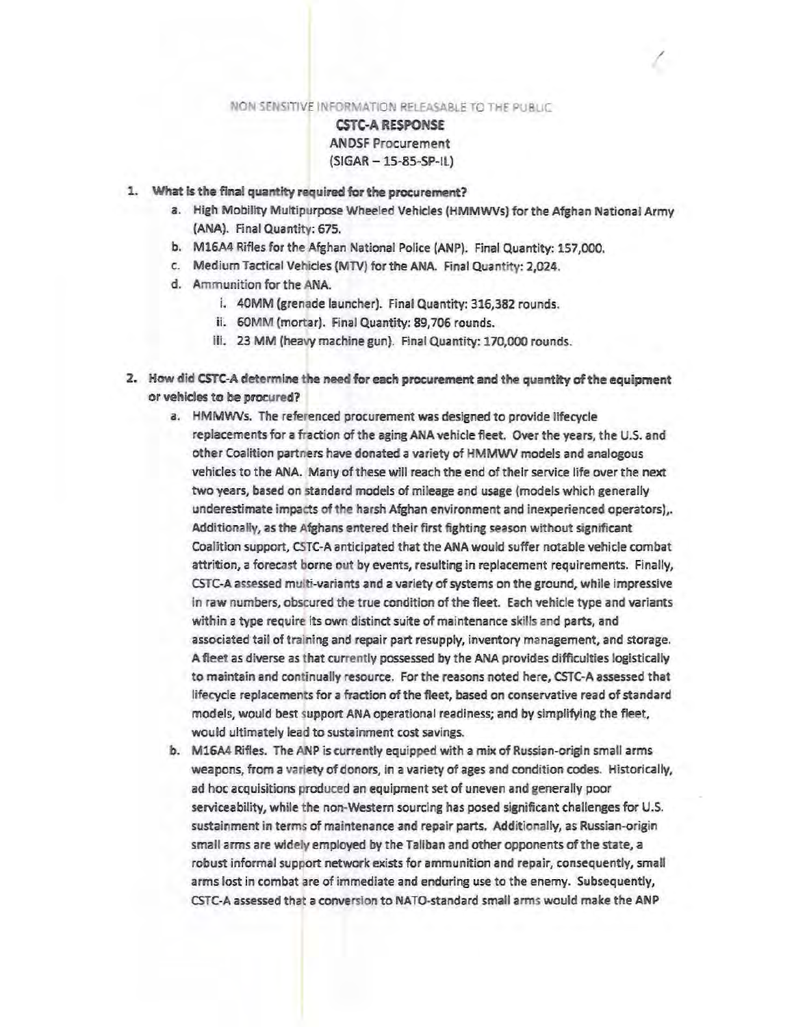# CSTC-A RESPONSE ANDSF Procurement  $(SIGAR - 15-85-SP-1L)$

- 1. What ls the final quantity required for the procurement?
	- a. High Mobility Multipurpose Wheeled Vehicles (HMMWVs) for the Afghan National Army (ANA). Final Quantity: 675.

/

- b. M16A4 Rifles for the Afghan National Pollce (ANP). Final Quantity: 157,000.
- c. Medium Tactical Vehicles {MTV) for the ANA. Final Quantity: 2,024.
- d. Ammunition for the ANA
	- i. 40MM (grenade launcher). Final Quantity: 316,382 rounds.
	- ii. GOMM (mortar). Final Quantity: 89,706 rounds.
	- iii. 23 MM (heavy machine gun}. Final Quantity: 170,000 rounds.
- 2. How did CSTC-A determine the need for each procurement and the quantity of the equipment or vehicles to be procured?
	- *a.* HMMWVs. The referenced procurement was designed to provide lifecycle replacements for a fraction of the aging ANA vehicle fleet. Over the years, the U.S. and other Coalition partners have donated a variety of HMMWV models and analogous vehicles to the ANA. Many of these will reach the end of their service life over the next two years, based on standard models of mileage and usage (models which generally underestimate impacts of the harsh Afghan environment and inexperienced operators),. Additionally, as the Afghans entered their first fighting season without significant Coalition support, CSTC-A anticipated that the ANA would suffer notable vehicle combat attrition, a forecast borne out by events, resulting in replacement requirements. Finally, CSTC-A assessed multi-variants and a variety of systems on the ground, while impressive In raw numbers, obscured the true condition of the fleet. Each vehicle type and variants within a type require its own distinct suite of maintenance skills and parts, and associated tail of training and repair part resupply, inventory management, and storage. A fleet as diverse as that currently possessed by the ANA provides difficulties logistically to maintain and continually resource. For the reasons noted here, CSTC-A assessed that lifecycle replacements for a fraction of the fleet, based on conservative read of standard models, would best support ANA operational readiness; and by simplifying the fleet, would ultimately lead to sustainment cost savings.
	- b. M16A4 Rifles. The ANP is currently equipped with a mix of Russian-origin small arms weapons, from a variety of donors, in a variety of ages and condition codes. Historically, ad hoc acquisitions produced an equipment set of uneven and generally poor serviceability, while the non-Western sourcing has posed significant challenges for U.S. sustainment in terms of maintenance and repair parts. Additionally, as Russian-origin small arms are widely employed by the Taliban and other opponents of the state, a robust informal support network exists for ammunition and repair, consequently, small arms lost in combat are of immediate and enduring use to the enemy. Subsequently, CSTC-A assessed that a conversion to NATO-standard small arms would make the ANP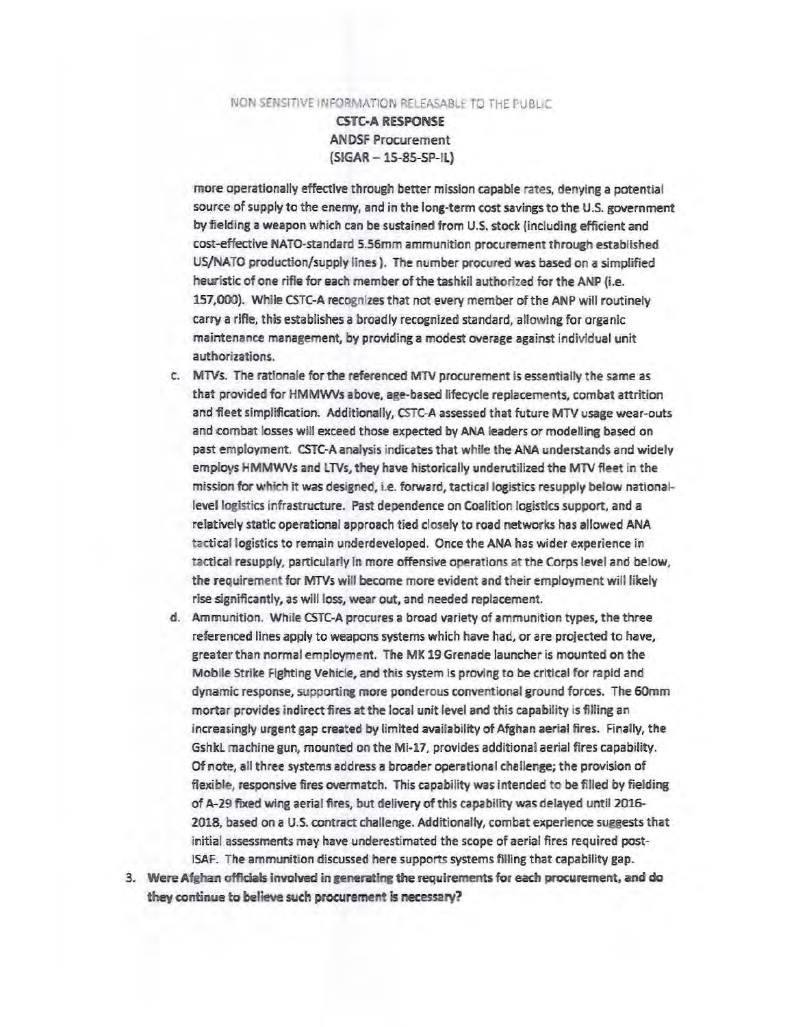CSTC·A RESPONSE AN DSF Procurement {SIGAR - 15-85-SP-IL)

more operationally effective through better mission capable rates, denying a potential source of supply to the enemy, and in the long-term cost savings to the U.S. government by fielding a weapon which can be sustained from U.S. stock {including efficient and cost-effective NATO-standard 5.56mm ammunition procurement through established US/NATO production/supply lines). The number procured was based on a simplified heuristic of one rifle for each member of the tashkil authorized for the ANP (i.e. 157,000). While CSTC-A recognizes that not every member of the ANP will routinely carry a rifle, this establishes a broadly recognized standard, allowing for organic maintenance management, by providing a modest overage against individual unit authorizations.

- c. MTVs. The rationale for the referenced MTV procurement is essentially the same as that provided for HMMWVs above, age-based lifecycle replacements, combat attrition and fleet simplification. Additionally, CSTC-A assessed that future MTV usage wear-outs and combat losses will exceed those expected by ANA leaders or modelling based on past employment. CSTC-A analysis indicates that white the ANA understands and widely employs HMMWVs and LTVs, they have historically underutilized the MTV fleet in the mission for which it was designed, i.e. forward, tactical logistics resupply below nationallevel logistics infrastructure. Past dependence on Coalition logistics support, and a relatively static operational approach tied closely to road networks has allowed ANA tactical logistics to remain underdeveloped. Once the ANA has wider experience in tactical resupply, particularly in more offensive operations at the Corps level and below, the requirement for MTVs will become more evident and their employment will likely rise significantly, as will loss, wear out, and needed replacement.
- d. Ammunition. While CSTC-A procures a broad variety of ammunition types, the three referenced lines apply to weapons systems which have had, or are projected to have, greater than normal employment. The MK 19 Grenade launcher is mounted on the Mobile Strike fighting Vehicle, and this system is proving to be critical for rapid and dynamic response, supporting more ponderous conventional ground forces. The 60mm mortar provides indirect fires at the local unit level and this capability is filling an increasingly urgent gap created by limited availability of Afghan aerial fires. Finally, the Gshkl machine gun, mounted on the Mi-17, provides additional aerial fires capability. Of note, all three systems address a broader operational challenge; the provision of flexible, responsive fires overmatch. This capability was Intended to be filled by fielding of A-29 fixed wing aerial flres, but delivery of this capability was delayed until 2016- 2018, based on a U.S. contract challenge. Additionally, combat experience suggests that initial assessments may have underestimated the scope of aerial fires required post-ISAF. The ammunition discussed here supports systems filling that capability gap.
- 3. Were Afghan officials involved in generating the requirements for each procurement, and do they continue to believe such procurement is necessary?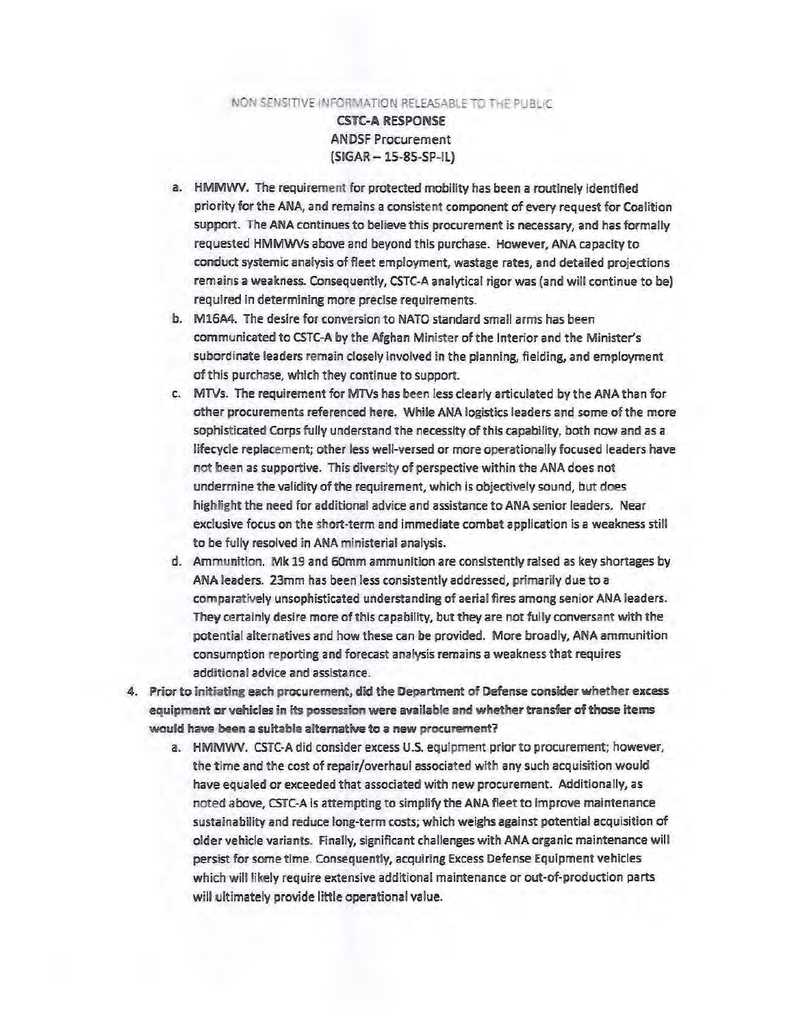CSTC-A RESPONSE ANDSf Procurement (SIGAR-15-85-SP-IL)

- a. HMMWV. The requirement for protected mobility has been a routinely identified priority for the ANA, and remains a consistent component of every request for Coalition support. The ANA continues to believe this procurement is necessary, and has formally requested HMMWVs above and beyond this purchase. However, ANA capacity to conduct systemic analysis of fleet employment, wastage rates, and detailed projections remains a weakness. Consequently, CSTC-A analytical rigor was (and will continue to be) required in determining more precise requirements.
- b. Ml6A4. The desire for conversion to NATO standard small arms has been communicated to CSTC-A by the Afghan Minister of the Interior and the Minister's subordinate leaders remain closely involved in the planning, fielding, and employment of this purchase, which they continue to support.
- c. MTVs. The requirement for MTVs has been less dearly articulated by the ANA than for other procurements referenced here. While ANA logistics leaders and some of the more sophisticated Corps fully understand the necessity of this capability, both now and as a lifecycle replacement; other less well-versed or more operationally focused leaders have not been as supportive. This diversity of perspective within the ANA does not undermine the validity of the requirement, which is objectively sound, but does highlight the need for additional advice and assistance to ANA senior leaders. Near exclusive focus on the shon·term and immediate combat application is a weakness still to be fully resolved in ANA ministerial analysis.
- d. Ammunition. Mk 19 and 60mm ammunition are consistently raised as key shortages by ANA leaders. 23mm has been less consistently addressed, primarily due to a comparatively unsophisticated understanding of aerial fires among senior ANA leaders. They certainly desire more of this capability, but they are not fully conversant with the potential alternatives and how these can be provided. More broadly, ANA ammunition consumption reporting and forecast analysis remains a weakness that requires additional advice and assistance.
- 4. Prior to initiating each procurement, did the Department of Defense consider whether excess equipment er vehicles in its possession were avallabte and whether transfer of those items would have been a suitable alternative to a new procurement?
	- a. HMMWV. CSTC-A did consider excess U.S. equipment prior to procurement; however, the time and the cost of repair/overhaul associated with any such acquisition would have equaled or exceeded that associated with new procurement. Additionally, as noted above, CSTC-A is attempting to simplify the ANA fleet to improve maintenance sustainability and reduce long-term costs; w hich weighs against potential acquisition of older vehicle variants. finally, significant challenges with ANA organic maintenance will persist for some time. Consequently, acquiring Excess Defense Equipment vehicles which will likely require extensive additional maintenance or out-of-production parts will ultimately provide little operational value.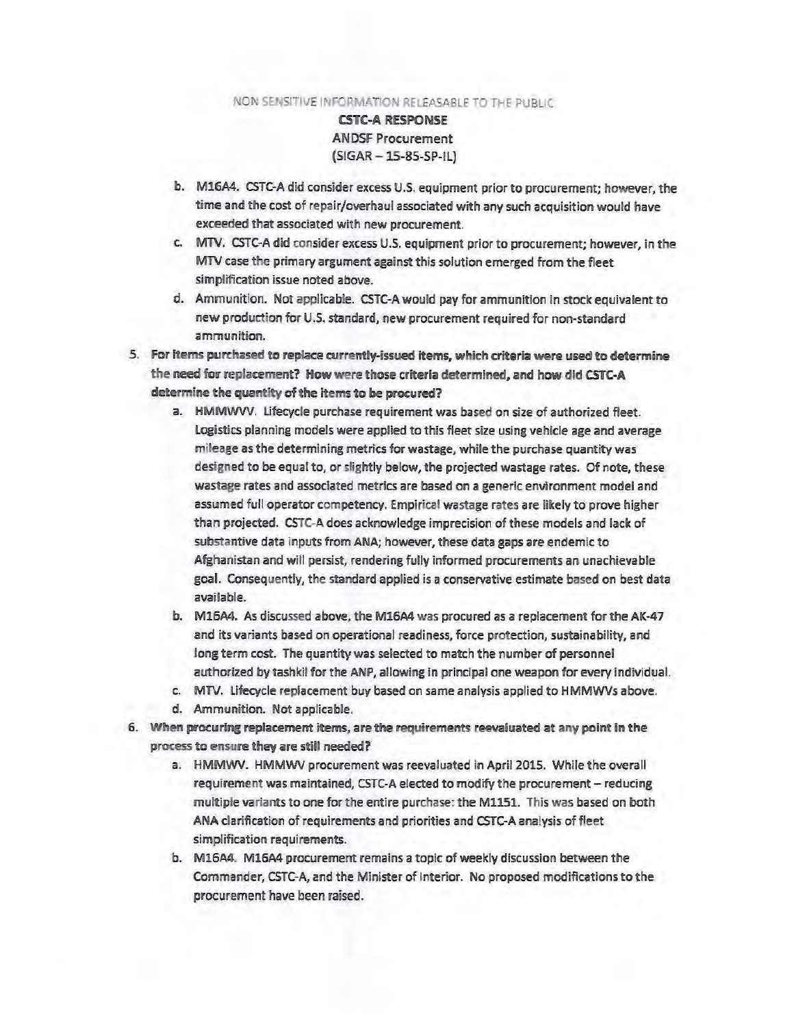CSTC-A RESPONSE ANOSF Procurement  $(SIGAR - 15-85-SP-IL)$ 

- b. M16A4. CSTC-A did consider excess U.S. equipment prior to procurement; however, the time and the cost of repair/overhaul associated with any such acquisition would have exceeded that associated with new procurement.
- c. MTV. CSTC-A did consider excess U.S. equipment prior to procurement; however, in the MTV case the primary argument against this solution emerged from the fleet simplification issue noted above.
- d. Ammunition. Not applicable. CSTC-Awould pay for ammunition in stock equivalent to new production for U.S. standard, new procurement required for non-standard ammunition.
- 5. For items purchased to replace currently-issued items, which criteria were used to determine the need for replacement? How were those criteria determined, and how did CSTC-A determine the quantity of the items to be procured?
	- a. HMMWVV. lifecycle purchase requirement was based on size of authorized fleet. Logistics planning models were applied to this fleet size using vehicle age and average mileage as the determining metrics for wastage, while the purchase quantity was designed to be equal to, or slightly below, the projected wastage rates. Of note, these wastage rates and associated metrics are based on a generic environment model and assumed full operator competency. Empirical wastage rates are likely to prove higher than projected. CSTC-A does acknowledge imprecision of these models and lack of substantive data inputs from ANA; however, these data gaps are endemic to Afghanistan and will persist, rendering fully informed procurements an unachievable goal. Consequently, the standard applied is a conservative estimate based on best data available.
	- b. M16A4. As discussed above, the M16A4 was procured as a replacement for the AK-47 and its variants based on operational readiness, force protection, sustainability, and long term cost. The quantity was selected to match the number of personnel authorized bytashkil for the ANP, allowing in principal one weapon for every individual.
	- c. MTV. lifecycle replacement buy based on same analysis applied to HMMWVs above.
	- d. Ammunition. Not applicable.
- 6. When procuring replacement items, are the requirements reevaluated at any point in the process to ensure they are still needed?
	- a. HMMWV. HMMWV procurement was reevaluated in April 2015. While the overall requirement was maintained, CSTC-A elected to modify the procurement - reducing multiple variants to one for the entire purchase: the M1151. This was based on both ANA clarification of requirements and priorities and CSTC-A analysis of fleet simplification requirements.
	- b. M16A4. M16A4 procurement remains a topic of weekly discussion between the Commander, CSTC-A, and the Minister of Interior. No proposed modifications to the procurement have been raised.